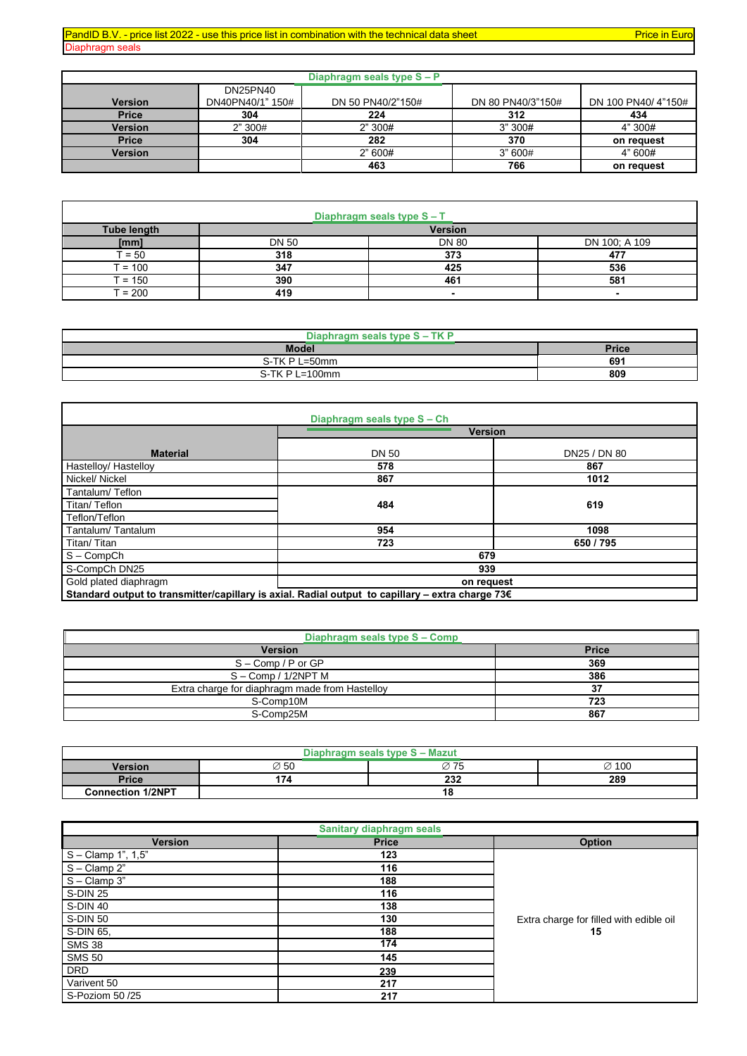## PandID B.V. - price list 2022 - use this price list in combination with the technical data sheet Price in Euro<br>Diaphragm seals

| Diaphragm seals |
|-----------------|
|-----------------|

| Diaphragm seals type S - P |                  |                   |                   |                    |  |
|----------------------------|------------------|-------------------|-------------------|--------------------|--|
|                            | <b>DN25PN40</b>  |                   |                   |                    |  |
| <b>Version</b>             | DN40PN40/1" 150# | DN 50 PN40/2"150# | DN 80 PN40/3"150# | DN 100 PN40/4"150# |  |
| <b>Price</b>               | 304              | 224               | 312               | 434                |  |
| <b>Version</b>             | 2" 300#          | 2" 300#           | 3"300#            | 4" 300#            |  |
| <b>Price</b>               | 304              | 282               | 370               | on request         |  |
| <b>Version</b>             |                  | 2"600#            | 3"600#            | 4" 600#            |  |
|                            |                  | 463               | 766               | on request         |  |

| Diaphragm seals type S - T |                |              |                          |  |  |
|----------------------------|----------------|--------------|--------------------------|--|--|
| <b>Tube length</b>         | <b>Version</b> |              |                          |  |  |
| [mm]                       | <b>DN 50</b>   | <b>DN 80</b> | DN 100; A 109            |  |  |
| $= 50$                     | 318            | 373          | 477                      |  |  |
| $= 100$                    | 347            | 425          | 536                      |  |  |
| $\Gamma = 150$             | 390            | 461          | 581                      |  |  |
| $= 200$                    | 419            |              | $\overline{\phantom{0}}$ |  |  |

| Diaphragm seals type S - TK P |              |  |  |  |
|-------------------------------|--------------|--|--|--|
| <b>Model</b>                  | <b>Price</b> |  |  |  |
| S-TK P L=50mm                 | 691          |  |  |  |
| $S$ -TK P L=100mm             | 809          |  |  |  |

|                                                                                                            | Diaphragm seals type S - Ch |              |  |  |
|------------------------------------------------------------------------------------------------------------|-----------------------------|--------------|--|--|
|                                                                                                            | <b>Version</b>              |              |  |  |
| <b>Material</b>                                                                                            | <b>DN 50</b>                | DN25 / DN 80 |  |  |
| Hastelloy/ Hastelloy                                                                                       | 578                         | 867          |  |  |
| Nickel/Nickel                                                                                              | 867                         | 1012         |  |  |
| Tantalum/Teflon                                                                                            |                             |              |  |  |
| Titan/Teflon                                                                                               | 484                         | 619          |  |  |
| Teflon/Teflon                                                                                              |                             |              |  |  |
| Tantalum/Tantalum                                                                                          | 954                         | 1098         |  |  |
| Titan/Titan                                                                                                | 723                         | 650 / 795    |  |  |
| $S - CompCh$                                                                                               | 679                         |              |  |  |
| S-CompCh DN25                                                                                              | 939                         |              |  |  |
| Gold plated diaphragm                                                                                      | on request                  |              |  |  |
| Standard output to transmitter/capillary is axial. Radial output to capillary - extra charge 73 $\epsilon$ |                             |              |  |  |

| Diaphragm seals type S - Comp                  |              |  |  |  |
|------------------------------------------------|--------------|--|--|--|
| <b>Version</b>                                 | <b>Price</b> |  |  |  |
| $S - Comp / P$ or $GP$                         | 369          |  |  |  |
| $S - Comp / 1/2NPT M$                          | 386          |  |  |  |
| Extra charge for diaphragm made from Hastelloy | 37           |  |  |  |
| S-Comp10M                                      | 723          |  |  |  |
| S-Comp25M                                      | 867          |  |  |  |

| <b>Mazut</b><br>type S<br>seals<br>$\overline{\phantom{a}}$ |                  |      |                   |  |
|-------------------------------------------------------------|------------------|------|-------------------|--|
| <b>Version</b>                                              | $\varnothing$ 50 | Ø 75 | $\varnothing$ 100 |  |
| <b>Price</b>                                                | 174              | 232  | 289               |  |
| <b>Connection 1/2NPT</b>                                    |                  | 18   |                   |  |

| <b>Sanitary diaphragm seals</b> |              |                                         |  |  |  |
|---------------------------------|--------------|-----------------------------------------|--|--|--|
| <b>Version</b>                  | <b>Price</b> | Option                                  |  |  |  |
| S - Clamp 1", 1,5"              | 123          |                                         |  |  |  |
| $S - Clamp 2"$                  | 116          |                                         |  |  |  |
| $S - Clamp 3"$                  | 188          |                                         |  |  |  |
| S-DIN 25                        | 116          |                                         |  |  |  |
| S-DIN 40                        | 138          |                                         |  |  |  |
| S-DIN 50                        | 130          | Extra charge for filled with edible oil |  |  |  |
| S-DIN 65.                       | 188          | 15                                      |  |  |  |
| <b>SMS 38</b>                   | 174          |                                         |  |  |  |
| <b>SMS 50</b>                   | 145          |                                         |  |  |  |
| <b>DRD</b>                      | 239          |                                         |  |  |  |
| Varivent 50                     | 217          |                                         |  |  |  |
| S-Poziom 50 /25                 | 217          |                                         |  |  |  |